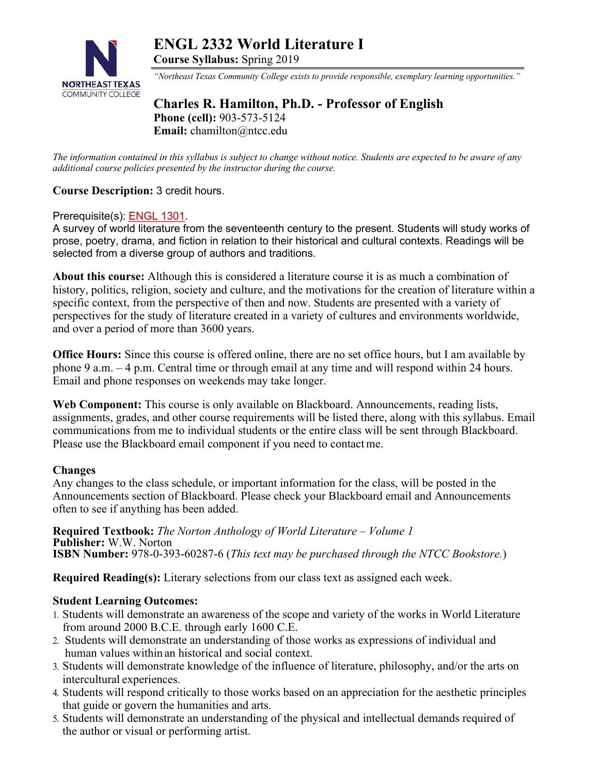

**ENGL 2332 World Literature I Course Syllabus:** Spring 2019

*"Northeast Texas Community College exists to provide responsible, exemplary learning opportunities."* 

# **Charles R. Hamilton, Ph.D. - Professor of English Phone (cell):** 903-573-5124 **Email:** chamilton@ntcc.edu

*The information contained in this syllabus is subject to change without notice. Students are expected to be aware of any additional course policies presented by the instructor during the course.*

# **Course Description:** 3 credit hours.

#### Prerequisite(s): ENGL 1301.

A survey of world literature from the seventeenth century to the present. Students will study works of prose, poetry, drama, and fiction in relation to their historical and cultural contexts. Readings will be selected from a diverse group of authors and traditions.

**About this course:** Although this is considered a literature course it is as much a combination of history, politics, religion, society and culture, and the motivations for the creation of literature within a specific context, from the perspective of then and now. Students are presented with a variety of perspectives for the study of literature created in a variety of cultures and environments worldwide, and over a period of more than 3600 years.

**Office Hours:** Since this course is offered online, there are no set office hours, but I am available by phone 9 a.m. – 4 p.m. Central time or through email at any time and will respond within 24 hours. Email and phone responses on weekends may take longer.

**Web Component:** This course is only available on Blackboard. Announcements, reading lists, assignments, grades, and other course requirements will be listed there, along with this syllabus. Email communications from me to individual students or the entire class will be sent through Blackboard. Please use the Blackboard email component if you need to contact me.

#### **Changes**

Any changes to the class schedule, or important information for the class, will be posted in the Announcements section of Blackboard. Please check your Blackboard email and Announcements often to see if anything has been added.

**Required Textbook:** *The Norton Anthology of World Literature – Volume 1* **Publisher:** W.W. Norton **ISBN Number:** 978-0-393-60287-6 (*This text may be purchased through the NTCC Bookstore.*)

**Required Reading(s):** Literary selections from our class text as assigned each week.

### **Student Learning Outcomes:**

- 1. Students will demonstrate an awareness of the scope and variety of the works in World Literature from around 2000 B.C.E. through early 1600 C.E.
- 2. Students will demonstrate an understanding of those works as expressions of individual and human values within an historical and social context.
- 3. Students will demonstrate knowledge of the influence of literature, philosophy, and/or the arts on intercultural experiences.
- 4. Students will respond critically to those works based on an appreciation for the aesthetic principles that guide or govern the humanities and arts.
- 5. Students will demonstrate an understanding of the physical and intellectual demands required of the author or visual or performing artist.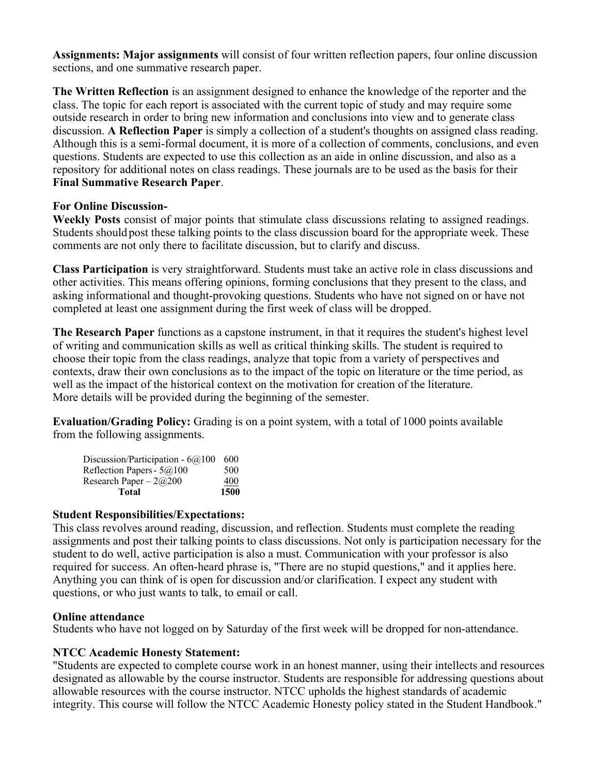**Assignments: Major assignments** will consist of four written reflection papers, four online discussion sections, and one summative research paper.

**The Written Reflection** is an assignment designed to enhance the knowledge of the reporter and the class. The topic for each report is associated with the current topic of study and may require some outside research in order to bring new information and conclusions into view and to generate class discussion. **A Reflection Paper** is simply a collection of a student's thoughts on assigned class reading. Although this is a semi-formal document, it is more of a collection of comments, conclusions, and even questions. Students are expected to use this collection as an aide in online discussion, and also as a repository for additional notes on class readings. These journals are to be used as the basis for their **Final Summative Research Paper**.

# **For Online Discussion-**

**Weekly Posts** consist of major points that stimulate class discussions relating to assigned readings. Students should post these talking points to the class discussion board for the appropriate week. These comments are not only there to facilitate discussion, but to clarify and discuss.

**Class Participation** is very straightforward. Students must take an active role in class discussions and other activities. This means offering opinions, forming conclusions that they present to the class, and asking informational and thought-provoking questions. Students who have not signed on or have not completed at least one assignment during the first week of class will be dropped.

**The Research Paper** functions as a capstone instrument, in that it requires the student's highest level of writing and communication skills as well as critical thinking skills. The student is required to choose their topic from the class readings, analyze that topic from a variety of perspectives and contexts, draw their own conclusions as to the impact of the topic on literature or the time period, as well as the impact of the historical context on the motivation for creation of the literature. More details will be provided during the beginning of the semester.

**Evaluation/Grading Policy:** Grading is on a point system, with a total of 1000 points available from the following assignments.

| Research Paper - $2@200$           | 400 |
|------------------------------------|-----|
| Reflection Papers - 5@100          | 500 |
| Discussion/Participation - $6@100$ | 600 |

# **Student Responsibilities/Expectations:**

This class revolves around reading, discussion, and reflection. Students must complete the reading assignments and post their talking points to class discussions. Not only is participation necessary for the student to do well, active participation is also a must. Communication with your professor is also required for success. An often-heard phrase is, "There are no stupid questions," and it applies here. Anything you can think of is open for discussion and/or clarification. I expect any student with questions, or who just wants to talk, to email or call.

### **Online attendance**

Students who have not logged on by Saturday of the first week will be dropped for non-attendance.

### **NTCC Academic Honesty Statement:**

"Students are expected to complete course work in an honest manner, using their intellects and resources designated as allowable by the course instructor. Students are responsible for addressing questions about allowable resources with the course instructor. NTCC upholds the highest standards of academic integrity. This course will follow the NTCC Academic Honesty policy stated in the Student Handbook."